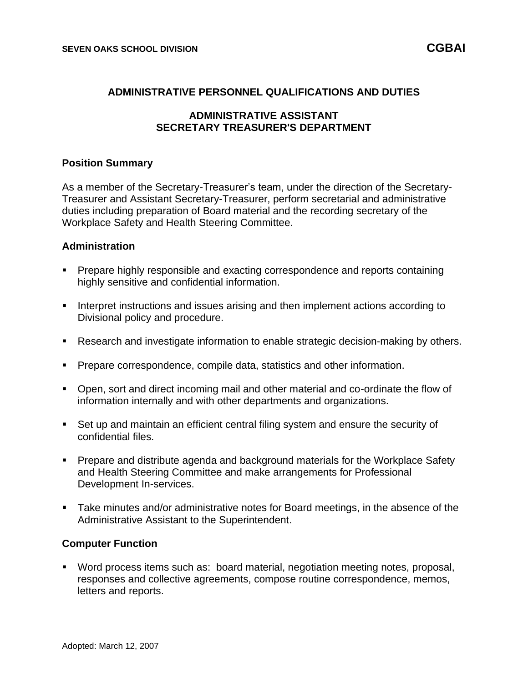### **ADMINISTRATIVE PERSONNEL QUALIFICATIONS AND DUTIES**

## **ADMINISTRATIVE ASSISTANT SECRETARY TREASURER'S DEPARTMENT**

### **Position Summary**

As a member of the Secretary-Treasurer's team, under the direction of the Secretary-Treasurer and Assistant Secretary-Treasurer, perform secretarial and administrative duties including preparation of Board material and the recording secretary of the Workplace Safety and Health Steering Committee.

### **Administration**

- Prepare highly responsible and exacting correspondence and reports containing highly sensitive and confidential information.
- **.** Interpret instructions and issues arising and then implement actions according to Divisional policy and procedure.
- Research and investigate information to enable strategic decision-making by others.
- **Prepare correspondence, compile data, statistics and other information.**
- Open, sort and direct incoming mail and other material and co-ordinate the flow of information internally and with other departments and organizations.
- Set up and maintain an efficient central filing system and ensure the security of confidential files.
- Prepare and distribute agenda and background materials for the Workplace Safety and Health Steering Committee and make arrangements for Professional Development In-services.
- Take minutes and/or administrative notes for Board meetings, in the absence of the Administrative Assistant to the Superintendent.

#### **Computer Function**

▪ Word process items such as: board material, negotiation meeting notes, proposal, responses and collective agreements, compose routine correspondence, memos, letters and reports.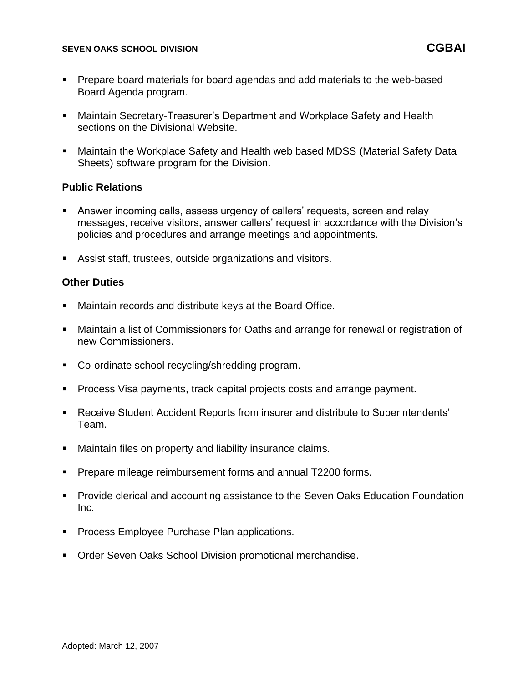### **SEVEN OAKS SCHOOL DIVISION CGBAI**

- Prepare board materials for board agendas and add materials to the web-based Board Agenda program.
- Maintain Secretary-Treasurer's Department and Workplace Safety and Health sections on the Divisional Website.
- Maintain the Workplace Safety and Health web based MDSS (Material Safety Data Sheets) software program for the Division.

### **Public Relations**

- Answer incoming calls, assess urgency of callers' requests, screen and relay messages, receive visitors, answer callers' request in accordance with the Division's policies and procedures and arrange meetings and appointments.
- Assist staff, trustees, outside organizations and visitors.

## **Other Duties**

- Maintain records and distribute keys at the Board Office.
- Maintain a list of Commissioners for Oaths and arrange for renewal or registration of new Commissioners.
- Co-ordinate school recycling/shredding program.
- Process Visa payments, track capital projects costs and arrange payment.
- Receive Student Accident Reports from insurer and distribute to Superintendents' Team.
- Maintain files on property and liability insurance claims.
- Prepare mileage reimbursement forms and annual T2200 forms.
- Provide clerical and accounting assistance to the Seven Oaks Education Foundation Inc.
- **Process Employee Purchase Plan applications.**
- Order Seven Oaks School Division promotional merchandise.